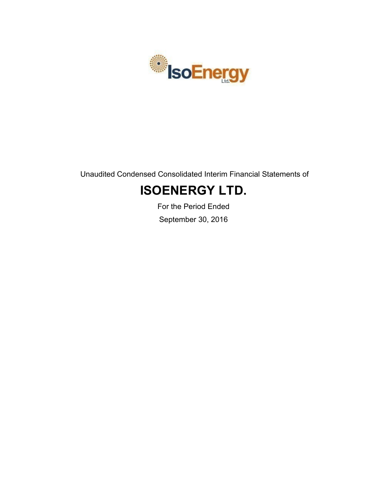

Unaudited Condensed Consolidated Interim Financial Statements of

# **ISOENERGY LTD.**

For the Period Ended September 30, 2016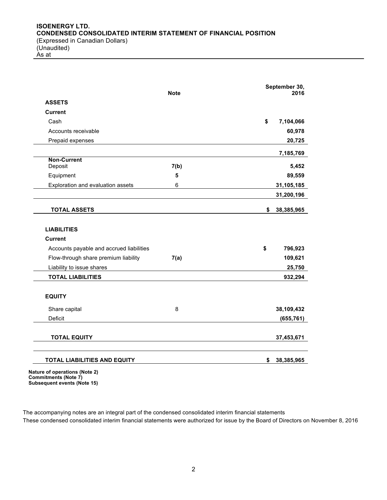As at

| <b>Note</b>                                                                                                   |      | September 30,<br>2016              |
|---------------------------------------------------------------------------------------------------------------|------|------------------------------------|
| <b>ASSETS</b>                                                                                                 |      |                                    |
| <b>Current</b>                                                                                                |      |                                    |
| Cash                                                                                                          |      | \$<br>7,104,066                    |
| Accounts receivable                                                                                           |      | 60,978                             |
| Prepaid expenses                                                                                              |      | 20,725                             |
|                                                                                                               |      | 7,185,769                          |
| <b>Non-Current</b><br>Deposit                                                                                 | 7(b) | 5,452                              |
| Equipment                                                                                                     | 5    | 89,559                             |
| Exploration and evaluation assets                                                                             | 6    | 31,105,185                         |
|                                                                                                               |      | 31,200,196                         |
| <b>TOTAL ASSETS</b>                                                                                           |      | \$<br>38,385,965                   |
| Accounts payable and accrued liabilities<br>Flow-through share premium liability<br>Liability to issue shares | 7(a) | \$<br>796,923<br>109,621<br>25,750 |
| <b>TOTAL LIABILITIES</b>                                                                                      |      | 932,294                            |
|                                                                                                               |      |                                    |
| <b>EQUITY</b>                                                                                                 |      |                                    |
| Share capital                                                                                                 | 8    | 38,109,432                         |
| Deficit                                                                                                       |      | (655, 761)                         |
| <b>TOTAL EQUITY</b>                                                                                           |      | 37,453,671                         |

**Commitments (Note 7) Subsequent events (Note 15)**

The accompanying notes are an integral part of the condensed consolidated interim financial statements These condensed consolidated interim financial statements were authorized for issue by the Board of Directors on November 8, 2016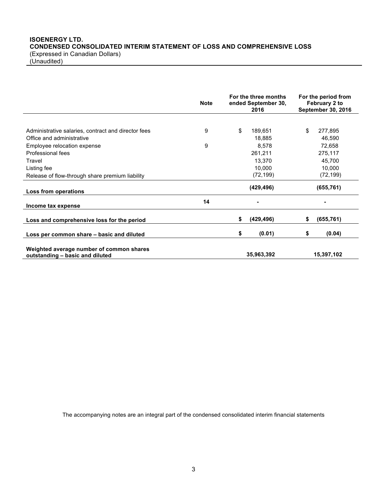# **ISOENERGY LTD. CONDENSED CONSOLIDATED INTERIM STATEMENT OF LOSS AND COMPREHENSIVE LOSS** (Expressed in Canadian Dollars)

(Unaudited)

|                                                                             | <b>Note</b> | For the three months<br>ended September 30,<br>2016 |            | For the period from<br>February 2 to<br>September 30, 2016 |
|-----------------------------------------------------------------------------|-------------|-----------------------------------------------------|------------|------------------------------------------------------------|
|                                                                             |             |                                                     |            |                                                            |
| Administrative salaries, contract and director fees                         | 9           | \$                                                  | 189,651    | \$<br>277,895                                              |
| Office and administrative                                                   |             |                                                     | 18,885     | 46,590                                                     |
| Employee relocation expense                                                 | 9           |                                                     | 8,578      | 72,658                                                     |
| Professional fees                                                           |             |                                                     | 261,211    | 275,117                                                    |
| Travel                                                                      |             |                                                     | 13,370     | 45,700                                                     |
| Listing fee                                                                 |             |                                                     | 10,000     | 10,000                                                     |
| Release of flow-through share premium liability                             |             |                                                     | (72, 199)  | (72, 199)                                                  |
| Loss from operations                                                        |             |                                                     | (429, 496) | (655, 761)                                                 |
| Income tax expense                                                          | 14          |                                                     |            |                                                            |
| Loss and comprehensive loss for the period                                  |             | \$                                                  | (429, 496) | \$<br>(655, 761)                                           |
| Loss per common share – basic and diluted                                   |             | \$                                                  | (0.01)     | \$<br>(0.04)                                               |
| Weighted average number of common shares<br>outstanding - basic and diluted |             |                                                     | 35,963,392 | 15,397,102                                                 |

The accompanying notes are an integral part of the condensed consolidated interim financial statements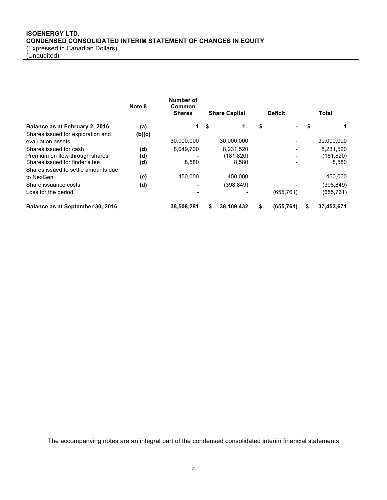# **ISOENERGY LTD. CONDENSED CONSOLIDATED INTERIM STATEMENT OF CHANGES IN EQUITY** (Expressed in Canadian Dollars) (Unaudited)

|                                     | Note 8 | Number of<br>Common |      |                      |    |                          |   |            |
|-------------------------------------|--------|---------------------|------|----------------------|----|--------------------------|---|------------|
|                                     |        | <b>Shares</b>       |      | <b>Share Capital</b> |    | <b>Deficit</b>           |   | Total      |
| Balance as at February 2, 2016      | (a)    | 1.                  | - \$ | 1                    | \$ | ۰.                       | 5 |            |
| Shares issued for exploration and   | (b)(c) |                     |      |                      |    |                          |   |            |
| evaluation assets                   |        | 30,000,000          |      | 30,000,000           |    |                          |   | 30,000,000 |
| Shares issued for cash              | (d)    | 8,049,700           |      | 8,231,520            |    |                          |   | 8,231,520  |
| Premium on flow-through shares      | (d)    |                     |      | (181, 820)           |    | $\overline{\phantom{0}}$ |   | (181, 820) |
| Shares issued for finder's fee      | (d)    | 8,580               |      | 8,580                |    |                          |   | 8,580      |
| Shares issued to settle amounts due |        |                     |      |                      |    |                          |   |            |
| to NexGen                           | (e)    | 450.000             |      | 450,000              |    |                          |   | 450,000    |
| Share issuance costs                | (d)    |                     |      | (398, 849)           |    |                          |   | (398, 849) |
| Loss for the period                 |        |                     |      |                      |    | (655, 761)               |   | (655, 761) |
| Balance as at September 30, 2016    |        | 38.508.281          | S    | 38.109.432           | S  | (655.761)                | S | 37.453.671 |

The accompanying notes are an integral part of the condensed consolidated interim financial statements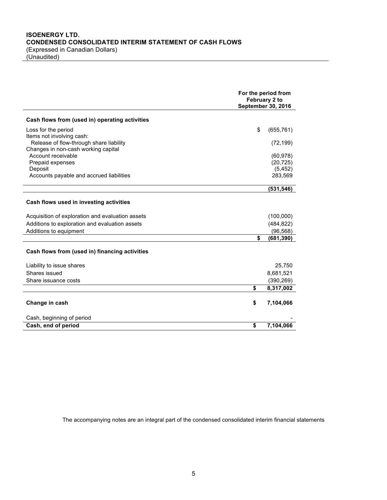(Unaudited)

|                                                                                | For the period from<br>February 2 to<br><b>September 30, 2016</b> |            |  |
|--------------------------------------------------------------------------------|-------------------------------------------------------------------|------------|--|
| Cash flows from (used in) operating activities                                 |                                                                   |            |  |
| Loss for the period                                                            | \$                                                                | (655, 761) |  |
| Items not involving cash:                                                      |                                                                   |            |  |
| Release of flow-through share liability<br>Changes in non-cash working capital |                                                                   | (72, 199)  |  |
| Account receivable                                                             |                                                                   | (60, 978)  |  |
| Prepaid expenses                                                               |                                                                   | (20, 725)  |  |
| Deposit                                                                        |                                                                   | (5, 452)   |  |
| Accounts payable and accrued liabilities                                       |                                                                   | 283,569    |  |
|                                                                                |                                                                   | (531, 546) |  |
| Cash flows used in investing activities                                        |                                                                   |            |  |
| Acquisition of exploration and evaluation assets                               |                                                                   | (100,000)  |  |
| Additions to exploration and evaluation assets                                 |                                                                   | (484, 822) |  |
| Additions to equipment                                                         |                                                                   | (96, 568)  |  |
|                                                                                | \$                                                                | (681, 390) |  |
| Cash flows from (used in) financing activities                                 |                                                                   |            |  |
| Liability to issue shares                                                      |                                                                   | 25,750     |  |
| Shares issued                                                                  |                                                                   | 8,681,521  |  |
| Share issuance costs                                                           |                                                                   | (390, 269) |  |
|                                                                                | \$                                                                | 8,317,002  |  |
| Change in cash                                                                 | \$                                                                | 7,104,066  |  |
| Cash, beginning of period                                                      |                                                                   |            |  |
| Cash, end of period                                                            | \$                                                                | 7,104,066  |  |

The accompanying notes are an integral part of the condensed consolidated interim financial statements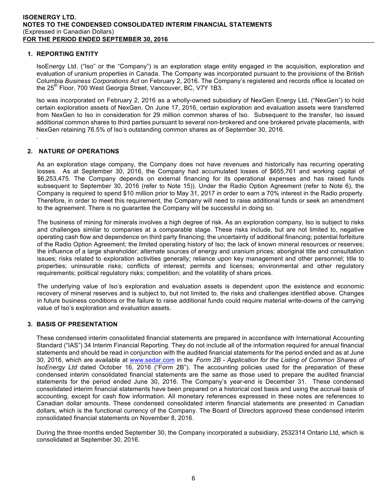# **1. REPORTING ENTITY**

IsoEnergy Ltd. ("Iso" or the "Company") is an exploration stage entity engaged in the acquisition, exploration and evaluation of uranium properties in Canada. The Company was incorporated pursuant to the provisions of the British Columbia *Business Corporations Act* on February 2, 2016. The Company's registered and records office is located on the 25<sup>th</sup> Floor, 700 West Georgia Street, Vancouver, BC, V7Y 1B3.

Iso was incorporated on February 2, 2016 as a wholly-owned subsidiary of NexGen Energy Ltd, ("NexGen") to hold certain exploration assets of NexGen. On June 17, 2016, certain exploration and evaluation assets were transferred from NexGen to Iso in consideration for 29 million common shares of Iso. Subsequent to the transfer, Iso issued additional common shares to third parties pursuant to several non-brokered and one brokered private placements, with NexGen retaining 76.5% of Iso's outstanding common shares as of September 30, 2016.

# **2. NATURE OF OPERATIONS**

.

As an exploration stage company, the Company does not have revenues and historically has recurring operating losses. As at September 30, 2016, the Company had accumulated losses of \$655,761 and working capital of \$6,253,475. The Company depends on external financing for its operational expenses and has raised funds subsequent to September 30, 2016 (refer to Note 15)). Under the Radio Option Agreement (refer to Note 6), the Company is required to spend \$10 million prior to May 31, 2017 in order to earn a 70% interest in the Radio property. Therefore, in order to meet this requirement, the Company will need to raise additional funds or seek an amendment to the agreement. There is no guarantee the Company will be successful in doing so.

The business of mining for minerals involves a high degree of risk. As an exploration company, Iso is subject to risks and challenges similar to companies at a comparable stage. These risks include, but are not limited to, negative operating cash flow and dependence on third party financing; the uncertainty of additional financing; potential forfeiture of the Radio Option Agreement; the limited operating history of Iso; the lack of known mineral resources or reserves; the influence of a large shareholder; alternate sources of energy and uranium prices; aboriginal title and consultation issues; risks related to exploration activities generally; reliance upon key management and other personnel; title to properties; uninsurable risks; conflicts of interest; permits and licenses; environmental and other regulatory requirements; political regulatory risks; competition; and the volatility of share prices.

The underlying value of Iso's exploration and evaluation assets is dependent upon the existence and economic recovery of mineral reserves and is subject to, but not limited to, the risks and challenges identified above. Changes in future business conditions or the failure to raise additional funds could require material write-downs of the carrying value of Iso's exploration and evaluation assets.

# **3. BASIS OF PRESENTATION**

These condensed interim consolidated financial statements are prepared in accordance with International Accounting Standard ("IAS") 34 Interim Financial Reporting. They do not include all of the information required for annual financial statements and should be read in conjunction with the audited financial statements for the period ended and as at June 30, 2016, which are available at www.sedar.com in the *Form 2B - Application for the Listing of Common Shares of IsoEnergy Ltd* dated October 16, 2016 ("Form 2B"). The accounting policies used for the preparation of these condensed interim consolidated financial statements are the same as those used to prepare the audited financial statements for the period ended June 30, 2016. The Company's year-end is December 31. These condensed consolidated interim financial statements have been prepared on a historical cost basis and using the accrual basis of accounting, except for cash flow information. All monetary references expressed in these notes are references to Canadian dollar amounts. These condensed consolidated interim financial statements are presented in Canadian dollars, which is the functional currency of the Company. The Board of Directors approved these condensed interim consolidated financial statements on November 8, 2016.

During the three months ended September 30, the Company incorporated a subsidiary, 2532314 Ontario Ltd, which is consolidated at September 30, 2016.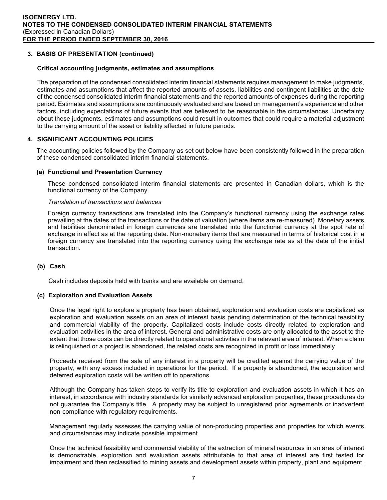# **3. BASIS OF PRESENTATION (continued)**

#### **Critical accounting judgments, estimates and assumptions**

The preparation of the condensed consolidated interim financial statements requires management to make judgments, estimates and assumptions that affect the reported amounts of assets, liabilities and contingent liabilities at the date of the condensed consolidated interim financial statements and the reported amounts of expenses during the reporting period. Estimates and assumptions are continuously evaluated and are based on management's experience and other factors, including expectations of future events that are believed to be reasonable in the circumstances. Uncertainty about these judgments, estimates and assumptions could result in outcomes that could require a material adjustment to the carrying amount of the asset or liability affected in future periods.

# **4. SIGNIFICANT ACCOUNTING POLICIES**

The accounting policies followed by the Company as set out below have been consistently followed in the preparation of these condensed consolidated interim financial statements.

#### **(a) Functional and Presentation Currency**

These condensed consolidated interim financial statements are presented in Canadian dollars, which is the functional currency of the Company.

#### *Translation of transactions and balances*

Foreign currency transactions are translated into the Company's functional currency using the exchange rates prevailing at the dates of the transactions or the date of valuation (where items are re-measured). Monetary assets and liabilities denominated in foreign currencies are translated into the functional currency at the spot rate of exchange in effect as at the reporting date. Non-monetary items that are measured in terms of historical cost in a foreign currency are translated into the reporting currency using the exchange rate as at the date of the initial transaction.

#### **(b) Cash**

Cash includes deposits held with banks and are available on demand.

#### **(c) Exploration and Evaluation Assets**

Once the legal right to explore a property has been obtained, exploration and evaluation costs are capitalized as exploration and evaluation assets on an area of interest basis pending determination of the technical feasibility and commercial viability of the property. Capitalized costs include costs directly related to exploration and evaluation activities in the area of interest. General and administrative costs are only allocated to the asset to the extent that those costs can be directly related to operational activities in the relevant area of interest. When a claim is relinquished or a project is abandoned, the related costs are recognized in profit or loss immediately.

Proceeds received from the sale of any interest in a property will be credited against the carrying value of the property, with any excess included in operations for the period. If a property is abandoned, the acquisition and deferred exploration costs will be written off to operations.

Although the Company has taken steps to verify its title to exploration and evaluation assets in which it has an interest, in accordance with industry standards for similarly advanced exploration properties, these procedures do not guarantee the Company's title. A property may be subject to unregistered prior agreements or inadvertent non-compliance with regulatory requirements.

 Management regularly assesses the carrying value of non-producing properties and properties for which events and circumstances may indicate possible impairment.

Once the technical feasibility and commercial viability of the extraction of mineral resources in an area of interest is demonstrable, exploration and evaluation assets attributable to that area of interest are first tested for impairment and then reclassified to mining assets and development assets within property, plant and equipment.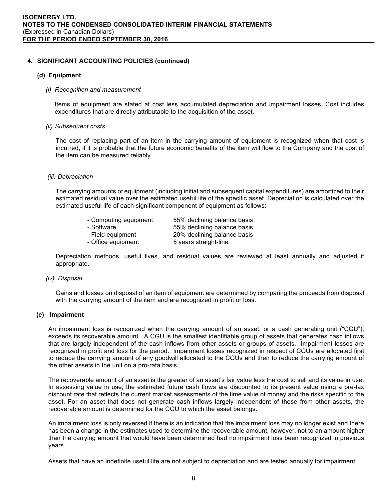#### **(d) Equipment**

#### *(i) Recognition and measurement*

Items of equipment are stated at cost less accumulated depreciation and impairment losses. Cost includes expenditures that are directly attributable to the acquisition of the asset.

#### *(ii) Subsequent costs*

The cost of replacing part of an item in the carrying amount of equipment is recognized when that cost is incurred, if it is probable that the future economic benefits of the item will flow to the Company and the cost of the item can be measured reliably.

#### *(iii) Depreciation*

The carrying amounts of equipment (including initial and subsequent capital expenditures) are amortized to their estimated residual value over the estimated useful life of the specific asset. Depreciation is calculated over the estimated useful life of each significant component of equipment as follows:

| - Computing equipment | 55% declining balance basis |
|-----------------------|-----------------------------|
|                       |                             |

- Software 65% declining balance basis - Field equipment 20% declining balance basis
	-

- Office equipment 5 years straight-line

Depreciation methods, useful lives, and residual values are reviewed at least annually and adjusted if appropriate.

#### *(iv) Disposal*

Gains and losses on disposal of an item of equipment are determined by comparing the proceeds from disposal with the carrying amount of the item and are recognized in profit or loss.

# **(e) Impairment**

An impairment loss is recognized when the carrying amount of an asset, or a cash generating unit ("CGU"), exceeds its recoverable amount. A CGU is the smallest identifiable group of assets that generates cash inflows that are largely independent of the cash inflows from other assets or groups of assets. Impairment losses are recognized in profit and loss for the period. Impairment losses recognized in respect of CGUs are allocated first to reduce the carrying amount of any goodwill allocated to the CGUs and then to reduce the carrying amount of the other assets in the unit on a pro-rata basis.

The recoverable amount of an asset is the greater of an asset's fair value less the cost to sell and its value in use. In assessing value in use, the estimated future cash flows are discounted to its present value using a pre-tax discount rate that reflects the current market assessments of the time value of money and the risks specific to the asset. For an asset that does not generate cash inflows largely independent of those from other assets, the recoverable amount is determined for the CGU to which the asset belongs.

An impairment loss is only reversed if there is an indication that the impairment loss may no longer exist and there has been a change in the estimates used to determine the recoverable amount, however, not to an amount higher than the carrying amount that would have been determined had no impairment loss been recognized in previous years.

Assets that have an indefinite useful life are not subject to depreciation and are tested annually for impairment.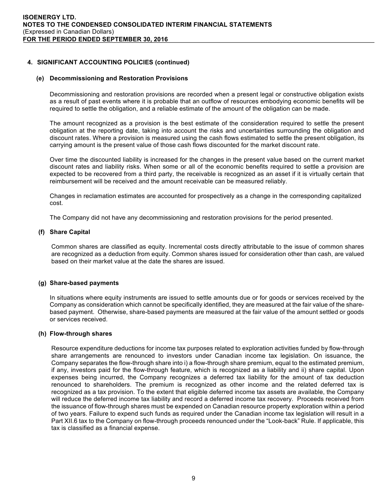#### **(e) Decommissioning and Restoration Provisions**

Decommissioning and restoration provisions are recorded when a present legal or constructive obligation exists as a result of past events where it is probable that an outflow of resources embodying economic benefits will be required to settle the obligation, and a reliable estimate of the amount of the obligation can be made.

The amount recognized as a provision is the best estimate of the consideration required to settle the present obligation at the reporting date, taking into account the risks and uncertainties surrounding the obligation and discount rates. Where a provision is measured using the cash flows estimated to settle the present obligation, its carrying amount is the present value of those cash flows discounted for the market discount rate.

Over time the discounted liability is increased for the changes in the present value based on the current market discount rates and liability risks. When some or all of the economic benefits required to settle a provision are expected to be recovered from a third party, the receivable is recognized as an asset if it is virtually certain that reimbursement will be received and the amount receivable can be measured reliably.

Changes in reclamation estimates are accounted for prospectively as a change in the corresponding capitalized cost.

The Company did not have any decommissioning and restoration provisions for the period presented.

# **(f) Share Capital**

Common shares are classified as equity. Incremental costs directly attributable to the issue of common shares are recognized as a deduction from equity. Common shares issued for consideration other than cash, are valued based on their market value at the date the shares are issued.

# **(g) Share-based payments**

In situations where equity instruments are issued to settle amounts due or for goods or services received by the Company as consideration which cannot be specifically identified, they are measured at the fair value of the sharebased payment. Otherwise, share-based payments are measured at the fair value of the amount settled or goods or services received.

# **(h) Flow-through shares**

Resource expenditure deductions for income tax purposes related to exploration activities funded by flow-through share arrangements are renounced to investors under Canadian income tax legislation. On issuance, the Company separates the flow-through share into i) a flow-through share premium, equal to the estimated premium, if any, investors paid for the flow-through feature, which is recognized as a liability and ii) share capital. Upon expenses being incurred, the Company recognizes a deferred tax liability for the amount of tax deduction renounced to shareholders. The premium is recognized as other income and the related deferred tax is recognized as a tax provision. To the extent that eligible deferred income tax assets are available, the Company will reduce the deferred income tax liability and record a deferred income tax recovery. Proceeds received from the issuance of flow-through shares must be expended on Canadian resource property exploration within a period of two years. Failure to expend such funds as required under the Canadian income tax legislation will result in a Part XII.6 tax to the Company on flow-through proceeds renounced under the "Look-back" Rule. If applicable, this tax is classified as a financial expense.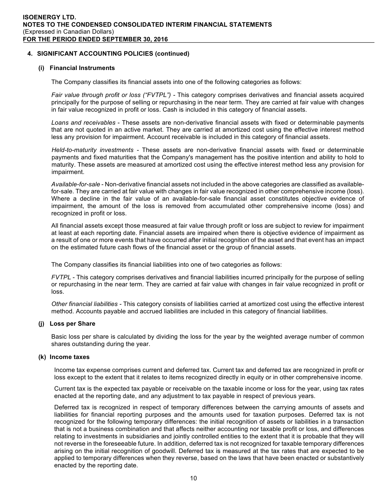#### **(i) Financial Instruments**

The Company classifies its financial assets into one of the following categories as follows:

*Fair value through profit or loss ("FVTPL") -* This category comprises derivatives and financial assets acquired principally for the purpose of selling or repurchasing in the near term. They are carried at fair value with changes in fair value recognized in profit or loss. Cash is included in this category of financial assets.

*Loans and receivables* - These assets are non-derivative financial assets with fixed or determinable payments that are not quoted in an active market. They are carried at amortized cost using the effective interest method less any provision for impairment. Account receivable is included in this category of financial assets.

*Held-to-maturity investments -* These assets are non-derivative financial assets with fixed or determinable payments and fixed maturities that the Company's management has the positive intention and ability to hold to maturity. These assets are measured at amortized cost using the effective interest method less any provision for impairment.

*Available-for-sale* - Non-derivative financial assets not included in the above categories are classified as availablefor-sale. They are carried at fair value with changes in fair value recognized in other comprehensive income (loss). Where a decline in the fair value of an available-for-sale financial asset constitutes objective evidence of impairment, the amount of the loss is removed from accumulated other comprehensive income (loss) and recognized in profit or loss.

All financial assets except those measured at fair value through profit or loss are subject to review for impairment at least at each reporting date. Financial assets are impaired when there is objective evidence of impairment as a result of one or more events that have occurred after initial recognition of the asset and that event has an impact on the estimated future cash flows of the financial asset or the group of financial assets.

The Company classifies its financial liabilities into one of two categories as follows:

*FVTPL* - This category comprises derivatives and financial liabilities incurred principally for the purpose of selling or repurchasing in the near term. They are carried at fair value with changes in fair value recognized in profit or loss.

*Other financial liabilities -* This category consists of liabilities carried at amortized cost using the effective interest method. Accounts payable and accrued liabilities are included in this category of financial liabilities.

# **(j) Loss per Share**

Basic loss per share is calculated by dividing the loss for the year by the weighted average number of common shares outstanding during the year.

#### **(k) Income taxes**

Income tax expense comprises current and deferred tax. Current tax and deferred tax are recognized in profit or loss except to the extent that it relates to items recognized directly in equity or in other comprehensive income.

Current tax is the expected tax payable or receivable on the taxable income or loss for the year, using tax rates enacted at the reporting date, and any adjustment to tax payable in respect of previous years.

Deferred tax is recognized in respect of temporary differences between the carrying amounts of assets and liabilities for financial reporting purposes and the amounts used for taxation purposes. Deferred tax is not recognized for the following temporary differences: the initial recognition of assets or liabilities in a transaction that is not a business combination and that affects neither accounting nor taxable profit or loss, and differences relating to investments in subsidiaries and jointly controlled entities to the extent that it is probable that they will not reverse in the foreseeable future. In addition, deferred tax is not recognized for taxable temporary differences arising on the initial recognition of goodwill. Deferred tax is measured at the tax rates that are expected to be applied to temporary differences when they reverse, based on the laws that have been enacted or substantively enacted by the reporting date.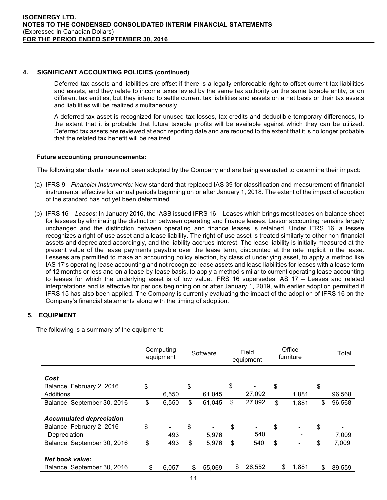Deferred tax assets and liabilities are offset if there is a legally enforceable right to offset current tax liabilities and assets, and they relate to income taxes levied by the same tax authority on the same taxable entity, or on different tax entities, but they intend to settle current tax liabilities and assets on a net basis or their tax assets and liabilities will be realized simultaneously.

A deferred tax asset is recognized for unused tax losses, tax credits and deductible temporary differences, to the extent that it is probable that future taxable profits will be available against which they can be utilized. Deferred tax assets are reviewed at each reporting date and are reduced to the extent that it is no longer probable that the related tax benefit will be realized.

# **Future accounting pronouncements:**

The following standards have not been adopted by the Company and are being evaluated to determine their impact:

- (a) IFRS 9 *Financial Instruments:* New standard that replaced IAS 39 for classification and measurement of financial instruments, effective for annual periods beginning on or after January 1, 2018. The extent of the impact of adoption of the standard has not yet been determined.
- (b) IFRS 16 *Leases:* In January 2016, the IASB issued IFRS 16 Leases which brings most leases on-balance sheet for lessees by eliminating the distinction between operating and finance leases. Lessor accounting remains largely unchanged and the distinction between operating and finance leases is retained. Under IFRS 16, a lessee recognizes a right-of-use asset and a lease liability. The right-of-use asset is treated similarly to other non-financial assets and depreciated accordingly, and the liability accrues interest. The lease liability is initially measured at the present value of the lease payments payable over the lease term, discounted at the rate implicit in the lease. Lessees are permitted to make an accounting policy election, by class of underlying asset, to apply a method like IAS 17's operating lease accounting and not recognize lease assets and lease liabilities for leases with a lease term of 12 months or less and on a lease-by-lease basis, to apply a method similar to current operating lease accounting to leases for which the underlying asset is of low value. IFRS 16 supersedes IAS 17 – Leases and related interpretations and is effective for periods beginning on or after January 1, 2019, with earlier adoption permitted if IFRS 15 has also been applied. The Company is currently evaluating the impact of the adoption of IFRS 16 on the Company's financial statements along with the timing of adoption.

# **5. EQUIPMENT**

The following is a summary of the equipment:

|                                                              | Computing<br>equipment | Software     | Field<br>equipment | Office<br>furniture  | Total        |
|--------------------------------------------------------------|------------------------|--------------|--------------------|----------------------|--------------|
| Cost                                                         |                        |              |                    |                      |              |
| Balance, February 2, 2016                                    | \$                     | \$           | \$                 | \$                   | \$           |
| Additions                                                    | 6,550                  | 61,045       | 27,092             | 1,881                | 96,568       |
|                                                              |                        |              |                    |                      |              |
| Balance, September 30, 2016                                  | \$<br>6,550            | \$<br>61,045 | \$<br>27,092       | \$<br>1,881          | \$<br>96,568 |
| <b>Accumulated depreciation</b><br>Balance, February 2, 2016 | \$                     | \$           | \$                 | \$                   | \$           |
| Depreciation                                                 | 493                    | 5,976        | 540                |                      | 7,009        |
| Balance, September 30, 2016                                  | \$<br>493              | \$<br>5,976  | \$<br>540          | \$<br>$\blacksquare$ | \$<br>7,009  |
| <b>Net book value:</b><br>Balance, September 30, 2016        | \$<br>6,057            | \$<br>55,069 | \$<br>26,552       | \$<br>1,881          | \$<br>89,559 |
|                                                              |                        |              |                    |                      |              |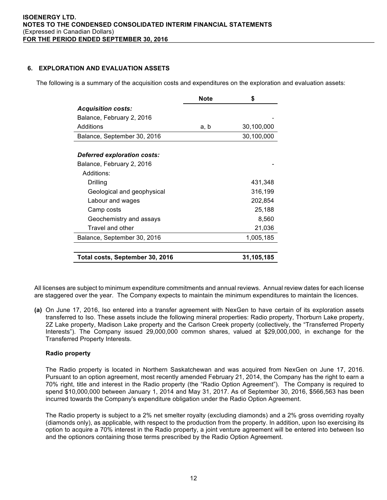# **6. EXPLORATION AND EVALUATION ASSETS**

The following is a summary of the acquisition costs and expenditures on the exploration and evaluation assets:

|                                    | <b>Note</b> | \$         |
|------------------------------------|-------------|------------|
| <b>Acquisition costs:</b>          |             |            |
| Balance, February 2, 2016          |             |            |
| Additions                          | a, b        | 30,100,000 |
| Balance, September 30, 2016        |             | 30,100,000 |
|                                    |             |            |
| <b>Deferred exploration costs:</b> |             |            |
| Balance, February 2, 2016          |             |            |
| Additions:                         |             |            |
| Drilling                           |             | 431,348    |
| Geological and geophysical         |             | 316,199    |
| Labour and wages                   |             | 202,854    |
| Camp costs                         |             | 25,188     |
| Geochemistry and assays            |             | 8,560      |
| Travel and other                   |             | 21,036     |
| Balance, September 30, 2016        |             | 1,005,185  |
| Total costs, September 30, 2016    |             | 31,105,185 |

All licenses are subject to minimum expenditure commitments and annual reviews. Annual review dates for each license are staggered over the year. The Company expects to maintain the minimum expenditures to maintain the licences.

**(a)** On June 17, 2016, Iso entered into a transfer agreement with NexGen to have certain of its exploration assets transferred to Iso. These assets include the following mineral properties: Radio property, Thorburn Lake property, 2Z Lake property, Madison Lake property and the Carlson Creek property (collectively, the "Transferred Property Interests"). The Company issued 29,000,000 common shares, valued at \$29,000,000, in exchange for the Transferred Property Interests.

# **Radio property**

The Radio property is located in Northern Saskatchewan and was acquired from NexGen on June 17, 2016. Pursuant to an option agreement, most recently amended February 21, 2014, the Company has the right to earn a 70% right, title and interest in the Radio property (the "Radio Option Agreement"). The Company is required to spend \$10,000,000 between January 1, 2014 and May 31, 2017. As of September 30, 2016, \$566,563 has been incurred towards the Company's expenditure obligation under the Radio Option Agreement.

The Radio property is subject to a 2% net smelter royalty (excluding diamonds) and a 2% gross overriding royalty (diamonds only), as applicable, with respect to the production from the property. In addition, upon Iso exercising its option to acquire a 70% interest in the Radio property, a joint venture agreement will be entered into between Iso and the optionors containing those terms prescribed by the Radio Option Agreement.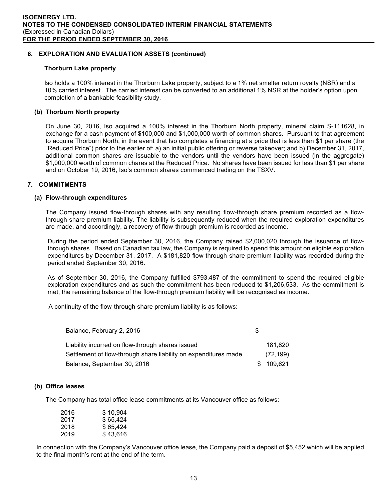# **6. EXPLORATION AND EVALUATION ASSETS (continued)**

#### **Thorburn Lake property**

Iso holds a 100% interest in the Thorburn Lake property, subject to a 1% net smelter return royalty (NSR) and a 10% carried interest. The carried interest can be converted to an additional 1% NSR at the holder's option upon completion of a bankable feasibility study.

# **(b) Thorburn North property**

On June 30, 2016, Iso acquired a 100% interest in the Thorburn North property, mineral claim S-111628, in exchange for a cash payment of \$100,000 and \$1,000,000 worth of common shares. Pursuant to that agreement to acquire Thorburn North, in the event that Iso completes a financing at a price that is less than \$1 per share (the "Reduced Price") prior to the earlier of: a) an initial public offering or reverse takeover; and b) December 31, 2017, additional common shares are issuable to the vendors until the vendors have been issued (in the aggregate) \$1,000,000 worth of common chares at the Reduced Price. No shares have been issued for less than \$1 per share and on October 19, 2016, Iso's common shares commenced trading on the TSXV.

# **7. COMMITMENTS**

# **(a) Flow-through expenditures**

The Company issued flow-through shares with any resulting flow-through share premium recorded as a flowthrough share premium liability. The liability is subsequently reduced when the required exploration expenditures are made, and accordingly, a recovery of flow-through premium is recorded as income.

During the period ended September 30, 2016, the Company raised \$2,000,020 through the issuance of flowthrough shares. Based on Canadian tax law, the Company is required to spend this amount on eligible exploration expenditures by December 31, 2017. A \$181,820 flow-through share premium liability was recorded during the period ended September 30, 2016.

As of September 30, 2016, the Company fulfilled \$793,487 of the commitment to spend the required eligible exploration expenditures and as such the commitment has been reduced to \$1,206,533. As the commitment is met, the remaining balance of the flow-through premium liability will be recognised as income.

A continuity of the flow-through share premium liability is as follows:

| Balance, February 2, 2016                                       | Ж, |           |
|-----------------------------------------------------------------|----|-----------|
| Liability incurred on flow-through shares issued                |    | 181.820   |
| Settlement of flow-through share liability on expenditures made |    | (72, 199) |
| Balance, September 30, 2016                                     |    | 109.621   |

# **(b) Office leases**

The Company has total office lease commitments at its Vancouver office as follows:

| 2016 | \$10,904 |
|------|----------|
| 2017 | \$65,424 |
| 2018 | \$65.424 |
| 2019 | \$43,616 |

In connection with the Company's Vancouver office lease, the Company paid a deposit of \$5,452 which will be applied to the final month's rent at the end of the term.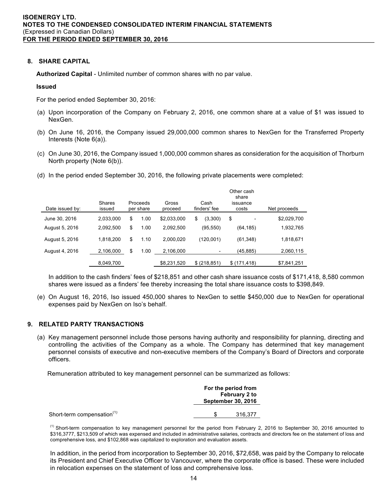#### **8. SHARE CAPITAL**

**Authorized Capital** - Unlimited number of common shares with no par value.

#### **Issued**

For the period ended September 30, 2016:

- (a) Upon incorporation of the Company on February 2, 2016, one common share at a value of \$1 was issued to NexGen.
- (b) On June 16, 2016, the Company issued 29,000,000 common shares to NexGen for the Transferred Property Interests (Note 6(a)).
- (c) On June 30, 2016, the Company issued 1,000,000 common shares as consideration for the acquisition of Thorburn North property (Note 6(b)).
- (d) In the period ended September 30, 2016, the following private placements were completed:

| Date issued by: | Shares<br>issued | Proceeds<br>per share | Gross<br>proceed | Cash<br>finders' fee | Other cash<br>share<br>issuance<br>costs | Net proceeds |
|-----------------|------------------|-----------------------|------------------|----------------------|------------------------------------------|--------------|
| June 30, 2016   | 2,033,000        | \$<br>1.00            | \$2,033,000      | \$<br>(3,300)        | \$                                       | \$2,029,700  |
| August 5, 2016  | 2.092.500        | \$<br>1.00            | 2.092.500        | (95, 550)            | (64, 185)                                | 1,932,765    |
| August 5, 2016  | 1,818,200        | \$<br>1.10            | 2,000,020        | (120,001)            | (61, 348)                                | 1,818,671    |
| August 4, 2016  | 2,106,000        | \$<br>1.00            | 2.106.000        |                      | (45,885)                                 | 2,060,115    |
|                 | 8,049,700        |                       | \$8,231,520      | \$ (218, 851)        | \$(171, 418)                             | \$7,841,251  |

In addition to the cash finders' fees of \$218,851 and other cash share issuance costs of \$171,418, 8,580 common shares were issued as a finders' fee thereby increasing the total share issuance costs to \$398,849.

(e) On August 16, 2016, Iso issued 450,000 shares to NexGen to settle \$450,000 due to NexGen for operational expenses paid by NexGen on Iso's behalf.

# **9. RELATED PARTY TRANSACTIONS**

(a) Key management personnel include those persons having authority and responsibility for planning, directing and controlling the activities of the Company as a whole. The Company has determined that key management personnel consists of executive and non-executive members of the Company's Board of Directors and corporate officers.

Remuneration attributed to key management personnel can be summarized as follows:

|                                        | For the period from<br>February 2 to<br><b>September 30, 2016</b> |         |  |
|----------------------------------------|-------------------------------------------------------------------|---------|--|
| Short-term compensation <sup>(1)</sup> |                                                                   | 316.377 |  |

<sup>(1)</sup> Short-term compensation to key management personnel for the period from February 2, 2016 to September 30, 2016 amounted to \$316,3777, \$213,509 of which was expensed and included in administrative salaries, contracts and directors fee on the statement of loss and comprehensive loss, and \$102,868 was capitalized to exploration and evaluation assets.

In addition, in the period from incorporation to September 30, 2016, \$72,658, was paid by the Company to relocate its President and Chief Executive Officer to Vancouver, where the corporate office is based. These were included in relocation expenses on the statement of loss and comprehensive loss.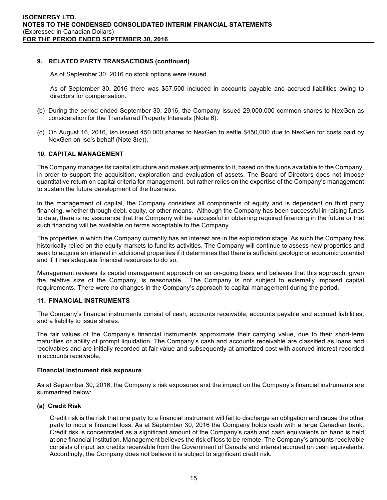# **9. RELATED PARTY TRANSACTIONS (continued)**

As of September 30, 2016 no stock options were issued.

As of September 30, 2016 there was \$57,500 included in accounts payable and accrued liabilities owing to directors for compensation.

- (b) During the period ended September 30, 2016, the Company issued 29,000,000 common shares to NexGen as consideration for the Transferred Property Interests (Note 6).
- (c) On August 16, 2016, Iso issued 450,000 shares to NexGen to settle \$450,000 due to NexGen for costs paid by NexGen on Iso's behalf (Note 8(e)).

# **10. CAPITAL MANAGEMENT**

The Company manages its capital structure and makes adjustments to it, based on the funds available to the Company, in order to support the acquisition, exploration and evaluation of assets. The Board of Directors does not impose quantitative return on capital criteria for management, but rather relies on the expertise of the Company's management to sustain the future development of the business.

 In the management of capital, the Company considers all components of equity and is dependent on third party financing, whether through debt, equity, or other means. Although the Company has been successful in raising funds to date, there is no assurance that the Company will be successful in obtaining required financing in the future or that such financing will be available on terms acceptable to the Company.

The properties in which the Company currently has an interest are in the exploration stage. As such the Company has historically relied on the equity markets to fund its activities. The Company will continue to assess new properties and seek to acquire an interest in additional properties if it determines that there is sufficient geologic or economic potential and if it has adequate financial resources to do so.

Management reviews its capital management approach on an on-going basis and believes that this approach, given the relative size of the Company, is reasonable. The Company is not subject to externally imposed capital requirements. There were no changes in the Company's approach to capital management during the period.

# **11. FINANCIAL INSTRUMENTS**

The Company's financial instruments consist of cash, accounts receivable, accounts payable and accrued liabilities, and a liability to issue shares.

The fair values of the Company's financial instruments approximate their carrying value, due to their short-term maturities or ability of prompt liquidation. The Company's cash and accounts receivable are classified as loans and receivables and are initially recorded at fair value and subsequently at amortized cost with accrued interest recorded in accounts receivable.

# **Financial instrument risk exposure**

As at September 30, 2016, the Company's risk exposures and the impact on the Company's financial instruments are summarized below:

# **(a) Credit Risk**

Credit risk is the risk that one party to a financial instrument will fail to discharge an obligation and cause the other party to incur a financial loss. As at September 30, 2016 the Company holds cash with a large Canadian bank. Credit risk is concentrated as a significant amount of the Company's cash and cash equivalents on hand is held at one financial institution. Management believes the risk of loss to be remote. The Company's amounts receivable consists of input tax credits receivable from the Government of Canada and interest accrued on cash equivalents. Accordingly, the Company does not believe it is subject to significant credit risk.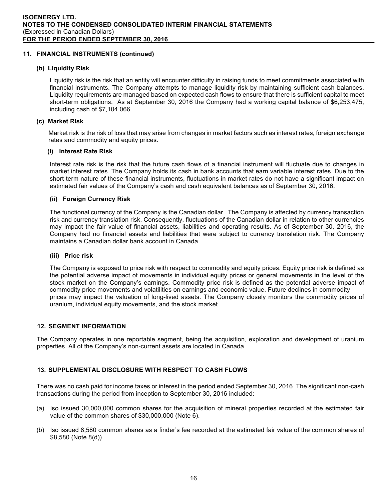# **11. FINANCIAL INSTRUMENTS (continued)**

# **(b) Liquidity Risk**

Liquidity risk is the risk that an entity will encounter difficulty in raising funds to meet commitments associated with financial instruments. The Company attempts to manage liquidity risk by maintaining sufficient cash balances. Liquidity requirements are managed based on expected cash flows to ensure that there is sufficient capital to meet short-term obligations. As at September 30, 2016 the Company had a working capital balance of \$6,253,475, including cash of \$7,104,066.

# **(c) Market Risk**

Market risk is the risk of loss that may arise from changes in market factors such as interest rates, foreign exchange rates and commodity and equity prices.

# **(i) Interest Rate Risk**

Interest rate risk is the risk that the future cash flows of a financial instrument will fluctuate due to changes in market interest rates. The Company holds its cash in bank accounts that earn variable interest rates. Due to the short-term nature of these financial instruments, fluctuations in market rates do not have a significant impact on estimated fair values of the Company's cash and cash equivalent balances as of September 30, 2016.

# **(ii) Foreign Currency Risk**

The functional currency of the Company is the Canadian dollar. The Company is affected by currency transaction risk and currency translation risk. Consequently, fluctuations of the Canadian dollar in relation to other currencies may impact the fair value of financial assets, liabilities and operating results. As of September 30, 2016, the Company had no financial assets and liabilities that were subject to currency translation risk. The Company maintains a Canadian dollar bank account in Canada.

# **(iii) Price risk**

The Company is exposed to price risk with respect to commodity and equity prices. Equity price risk is defined as the potential adverse impact of movements in individual equity prices or general movements in the level of the stock market on the Company's earnings. Commodity price risk is defined as the potential adverse impact of commodity price movements and volatilities on earnings and economic value. Future declines in commodity prices may impact the valuation of long-lived assets. The Company closely monitors the commodity prices of uranium, individual equity movements, and the stock market.

# **12. SEGMENT INFORMATION**

The Company operates in one reportable segment, being the acquisition, exploration and development of uranium properties. All of the Company's non-current assets are located in Canada.

# **13. SUPPLEMENTAL DISCLOSURE WITH RESPECT TO CASH FLOWS**

There was no cash paid for income taxes or interest in the period ended September 30, 2016. The significant non-cash transactions during the period from inception to September 30, 2016 included:

- (a) Iso issued 30,000,000 common shares for the acquisition of mineral properties recorded at the estimated fair value of the common shares of \$30,000,000 (Note 6).
- (b) Iso issued 8,580 common shares as a finder's fee recorded at the estimated fair value of the common shares of \$8,580 (Note 8(d)).